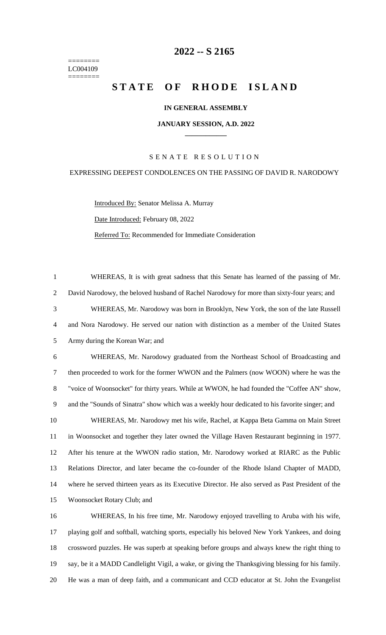======== LC004109 ========

## **-- S 2165**

# **STATE OF RHODE ISLAND**

#### **IN GENERAL ASSEMBLY**

#### **JANUARY SESSION, A.D. 2022 \_\_\_\_\_\_\_\_\_\_\_\_**

#### S E N A T E R E S O L U T I O N

#### EXPRESSING DEEPEST CONDOLENCES ON THE PASSING OF DAVID R. NARODOWY

WHEREAS, It is with great sadness that this Senate has learned of the passing of Mr.

Introduced By: Senator Melissa A. Murray Date Introduced: February 08, 2022 Referred To: Recommended for Immediate Consideration

 David Narodowy, the beloved husband of Rachel Narodowy for more than sixty-four years; and WHEREAS, Mr. Narodowy was born in Brooklyn, New York, the son of the late Russell and Nora Narodowy. He served our nation with distinction as a member of the United States Army during the Korean War; and WHEREAS, Mr. Narodowy graduated from the Northeast School of Broadcasting and then proceeded to work for the former WWON and the Palmers (now WOON) where he was the "voice of Woonsocket" for thirty years. While at WWON, he had founded the "Coffee AN" show, and the "Sounds of Sinatra" show which was a weekly hour dedicated to his favorite singer; and WHEREAS, Mr. Narodowy met his wife, Rachel, at Kappa Beta Gamma on Main Street in Woonsocket and together they later owned the Village Haven Restaurant beginning in 1977. After his tenure at the WWON radio station, Mr. Narodowy worked at RIARC as the Public Relations Director, and later became the co-founder of the Rhode Island Chapter of MADD, where he served thirteen years as its Executive Director. He also served as Past President of the Woonsocket Rotary Club; and WHEREAS, In his free time, Mr. Narodowy enjoyed travelling to Aruba with his wife, playing golf and softball, watching sports, especially his beloved New York Yankees, and doing crossword puzzles. He was superb at speaking before groups and always knew the right thing to say, be it a MADD Candlelight Vigil, a wake, or giving the Thanksgiving blessing for his family.

He was a man of deep faith, and a communicant and CCD educator at St. John the Evangelist